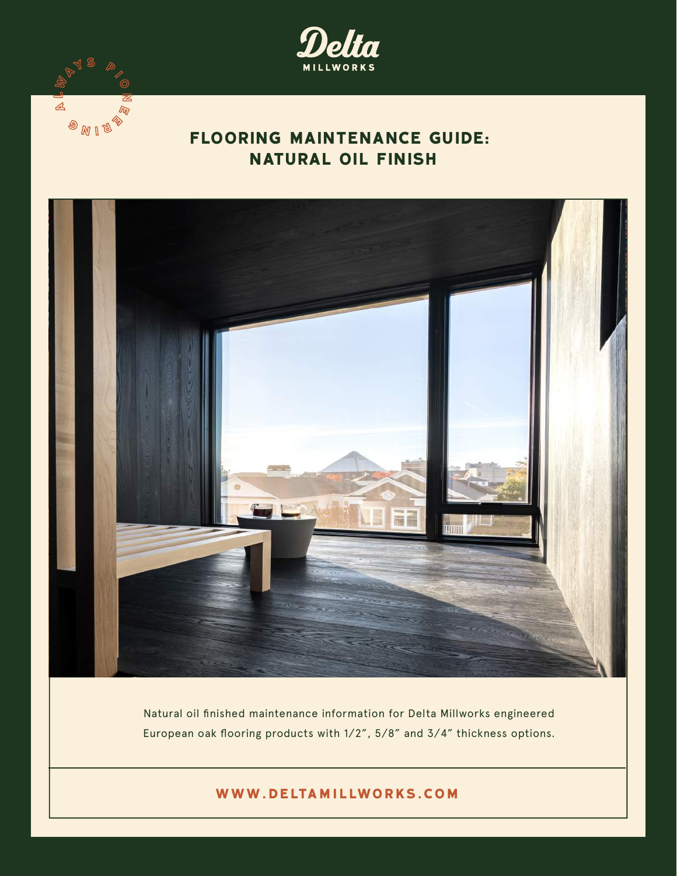

# **FLOORING MAINTENANCE GUIDE: NATURAL OIL FINISH**

 $\mathbb{Z}$ 

 $\circledast_{\mathbb{M}^{\mathbb{C}}}$ 



Natural oil finished maintenance information for Delta Millworks engineered European oak flooring products with 1/2", 5/8" and 3/4" thickness options.

**www.deltamillworks.com**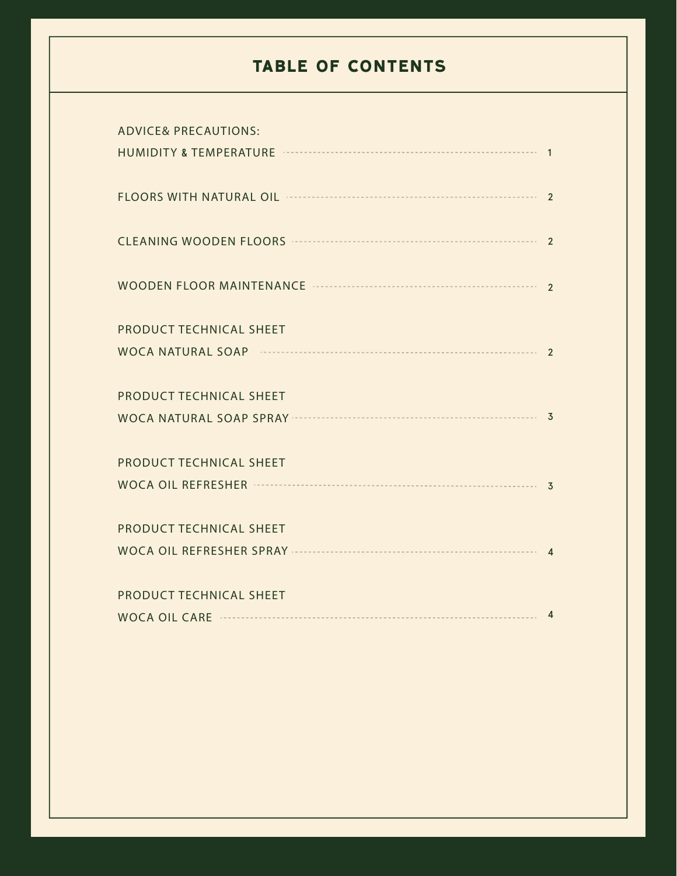## **TABLE OF CONTENTS**

| <b>ADVICE&amp; PRECAUTIONS:</b>                                                                                                                                                                                                |  |
|--------------------------------------------------------------------------------------------------------------------------------------------------------------------------------------------------------------------------------|--|
|                                                                                                                                                                                                                                |  |
| FLOORS WITH NATURAL OIL <b>WELL ASSESSED AT A 2</b>                                                                                                                                                                            |  |
| CLEANING WOODEN FLOORS <b>WELLENS</b> 2                                                                                                                                                                                        |  |
|                                                                                                                                                                                                                                |  |
| PRODUCT TECHNICAL SHEET                                                                                                                                                                                                        |  |
|                                                                                                                                                                                                                                |  |
| PRODUCT TECHNICAL SHEET                                                                                                                                                                                                        |  |
|                                                                                                                                                                                                                                |  |
| PRODUCT TECHNICAL SHEET                                                                                                                                                                                                        |  |
|                                                                                                                                                                                                                                |  |
| PRODUCT TECHNICAL SHEET                                                                                                                                                                                                        |  |
|                                                                                                                                                                                                                                |  |
| PRODUCT TECHNICAL SHEET                                                                                                                                                                                                        |  |
| WOCA OIL CARE 322 AM AND THE ANNUAL METAL AND THE ASSESSMENT RANGE ASSESSMENT RANGE AND THE ASSESSMENT RANGE AND THE ASSESSMENT RANGE AND THE ASSESSMENT RANGE AND THE ASSESSMENT RANGE AND THE ASSESSMENT RANGE AND THE ASSES |  |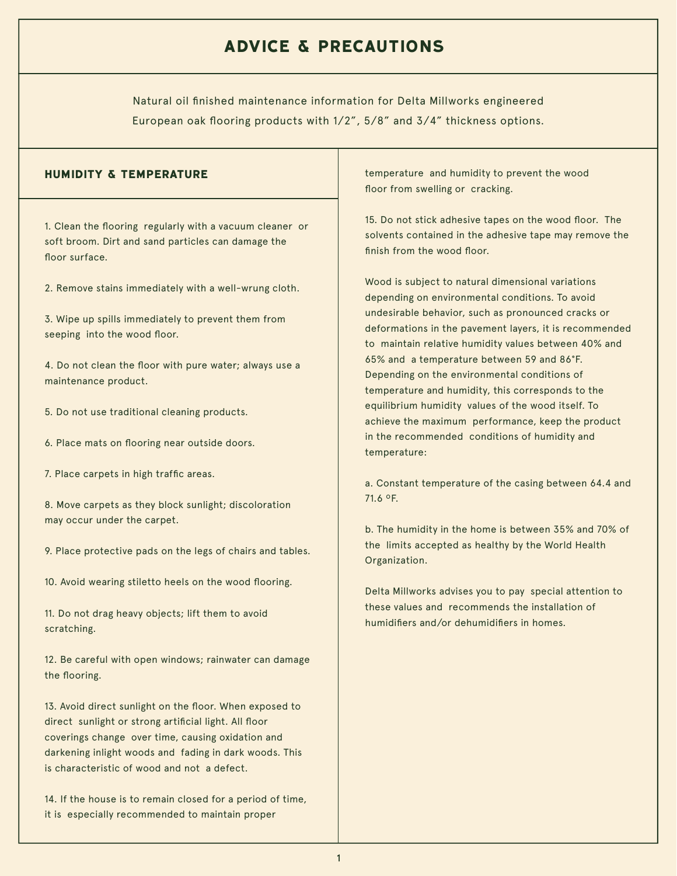## **ADVICE & PRECAUTIONS**

Natural oil finished maintenance information for Delta Millworks engineered European oak flooring products with 1/2", 5/8" and 3/4" thickness options.

1. Clean the flooring regularly with a vacuum cleaner or soft broom. Dirt and sand particles can damage the floor surface.

2. Remove stains immediately with a well-wrung cloth.

3. Wipe up spills immediately to prevent them from seeping into the wood floor.

4. Do not clean the floor with pure water; always use a maintenance product.

- 5. Do not use traditional cleaning products.
- 6. Place mats on flooring near outside doors.
- 7. Place carpets in high traffic areas.

8. Move carpets as they block sunlight; discoloration may occur under the carpet.

9. Place protective pads on the legs of chairs and tables.

10. Avoid wearing stiletto heels on the wood flooring.

11. Do not drag heavy objects; lift them to avoid scratching.

12. Be careful with open windows; rainwater can damage the flooring.

13. Avoid direct sunlight on the floor. When exposed to direct sunlight or strong artificial light. All floor coverings change over time, causing oxidation and darkening inlight woods and fading in dark woods. This is characteristic of wood and not a defect.

14. If the house is to remain closed for a period of time, it is especially recommended to maintain proper

**HUMIDITY & TEMPERATURE temperature and humidity to prevent the wood** floor from swelling or cracking.

> 15. Do not stick adhesive tapes on the wood floor. The solvents contained in the adhesive tape may remove the finish from the wood floor.

> Wood is subject to natural dimensional variations depending on environmental conditions. To avoid undesirable behavior, such as pronounced cracks or deformations in the pavement layers, it is recommended to maintain relative humidity values between 40% and 65% and a temperature between 59 and 86°F. Depending on the environmental conditions of temperature and humidity, this corresponds to the equilibrium humidity values of the wood itself. To achieve the maximum performance, keep the product in the recommended conditions of humidity and temperature:

> a. Constant temperature of the casing between 64.4 and 71.6 ºF.

> b. The humidity in the home is between 35% and 70% of the limits accepted as healthy by the World Health Organization.

Delta Millworks advises you to pay special attention to these values and recommends the installation of humidifiers and/or dehumidifiers in homes.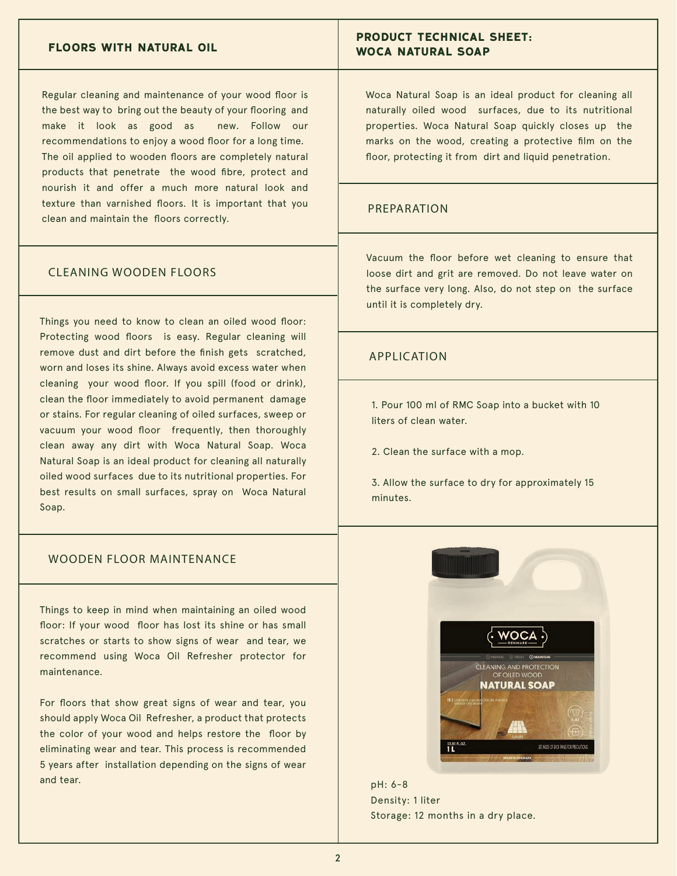#### **FLOORS WITH NATURAL OIL**

Regular cleaning and maintenance of your wood floor is the best way to bring out the beauty of your flooring and make it look as good as new. Follow our recommendations to enjoy a wood floor for a long time. The oil applied to wooden floors are completely natural products that penetrate the wood fibre, protect and nourish it and offer a much more natural look and texture than varnished floors. It is important that you clean and maintain the floors correctly.

#### CLEANING WOODEN FLOORS

Things you need to know to clean an oiled wood floor: Protecting wood floors is easy. Regular cleaning will remove dust and dirt before the finish gets scratched, worn and loses its shine. Always avoid excess water when cleaning your wood floor. If you spill (food or drink), clean the floor immediately to avoid permanent damage or stains. For regular cleaning of oiled surfaces, sweep or vacuum your wood floor frequently, then thoroughly clean away any dirt with Woca Natural Soap. Woca Natural Soap is an ideal product for cleaning all naturally oiled wood surfaces due to its nutritional properties. For best results on small surfaces, spray on Woca Natural Soap.

#### WOODEN FLOOR MAINTENANCE

Things to keep in mind when maintaining an oiled wood floor: If your wood floor has lost its shine or has small scratches or starts to show signs of wear and tear, we recommend using Woca Oil Refresher protector for maintenance.

For floors that show great signs of wear and tear, you should apply Woca Oil Refresher, a product that protects the color of your wood and helps restore the floor by eliminating wear and tear. This process is recommended 5 years after installation depending on the signs of wear and tear.

### **PRODUCT TECHNICAL SHEET: WOCA NATURAL SOAP**

Woca Natural Soap is an ideal product for cleaning all naturally oiled wood surfaces, due to its nutritional properties. Woca Natural Soap quickly closes up the marks on the wood, creating a protective film on the floor, protecting it from dirt and liquid penetration.

### PREPARATION

Vacuum the floor before wet cleaning to ensure that loose dirt and grit are removed. Do not leave water on the surface very long. Also, do not step on the surface until it is completely dry.

#### APPLICATION

1. Pour 100 ml of RMC Soap into a bucket with 10 liters of clean water.

2. Clean the surface with a mop.

3. Allow the surface to dry for approximately 15 minutes.



pH: 6-8 Density: 1 liter Storage: 12 months in a dry place.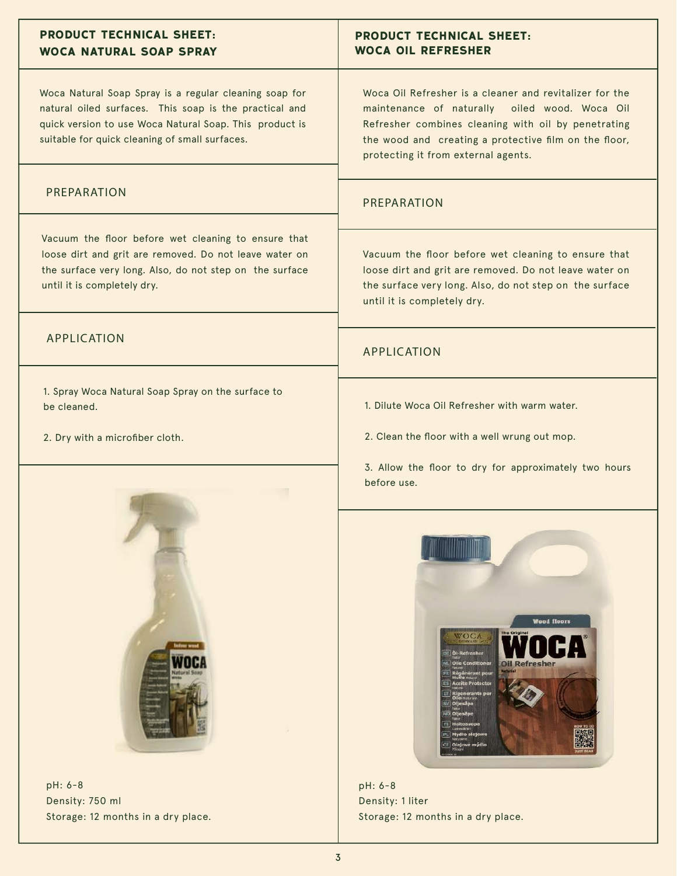| <b>PRODUCT TECHNICAL SHEET:</b><br><b>WOCA NATURAL SOAP SPRAY</b>                                                                                                                                                             | <b>PRODUCT TECHNICAL SHEET:</b><br><b>WOCA OIL REFRESHER</b>                                                                                                                                                                                                                                                         |
|-------------------------------------------------------------------------------------------------------------------------------------------------------------------------------------------------------------------------------|----------------------------------------------------------------------------------------------------------------------------------------------------------------------------------------------------------------------------------------------------------------------------------------------------------------------|
| Woca Natural Soap Spray is a regular cleaning soap for<br>natural oiled surfaces. This soap is the practical and<br>quick version to use Woca Natural Soap. This product is<br>suitable for quick cleaning of small surfaces. | Woca Oil Refresher is a cleaner and revitalizer for the<br>maintenance of naturally oiled wood. Woca Oil<br>Refresher combines cleaning with oil by penetrating<br>the wood and creating a protective film on the floor,<br>protecting it from external agents.                                                      |
| PREPARATION                                                                                                                                                                                                                   | PREPARATION                                                                                                                                                                                                                                                                                                          |
| Vacuum the floor before wet cleaning to ensure that<br>loose dirt and grit are removed. Do not leave water on<br>the surface very long. Also, do not step on the surface<br>until it is completely dry.                       | Vacuum the floor before wet cleaning to ensure that<br>loose dirt and grit are removed. Do not leave water on<br>the surface very long. Also, do not step on the surface<br>until it is completely dry.                                                                                                              |
| <b>APPLICATION</b>                                                                                                                                                                                                            | <b>APPLICATION</b>                                                                                                                                                                                                                                                                                                   |
| 1. Spray Woca Natural Soap Spray on the surface to<br>be cleaned.                                                                                                                                                             | 1. Dilute Woca Oil Refresher with warm water.                                                                                                                                                                                                                                                                        |
| 2. Dry with a microfiber cloth.                                                                                                                                                                                               | 2. Clean the floor with a well wrung out mop.                                                                                                                                                                                                                                                                        |
| pH: 6-8                                                                                                                                                                                                                       | 3. Allow the floor to dry for approximately two hours<br>before use.                                                                                                                                                                                                                                                 |
|                                                                                                                                                                                                                               | <b>Wood floors</b><br>The Original<br>WOCA<br>DE OI-Refresher<br><b>VIL Olie Conditioner</b><br>Oil Refresher<br><b>Régénérant pou<br/>Hullo</b> Islami<br><b>E5</b> Aceite Protector<br><b>TT</b> Rigenerante per<br>SV Oljesåpa<br>NO Oljesepe<br>FI Holtosuopa<br>PL Mydio olejowe<br>CZ Olejové mýdlo<br>pH: 6-8 |

Density: 750 ml Storage: 12 months in a dry place.

Density: 1 liter

Storage: 12 months in a dry place.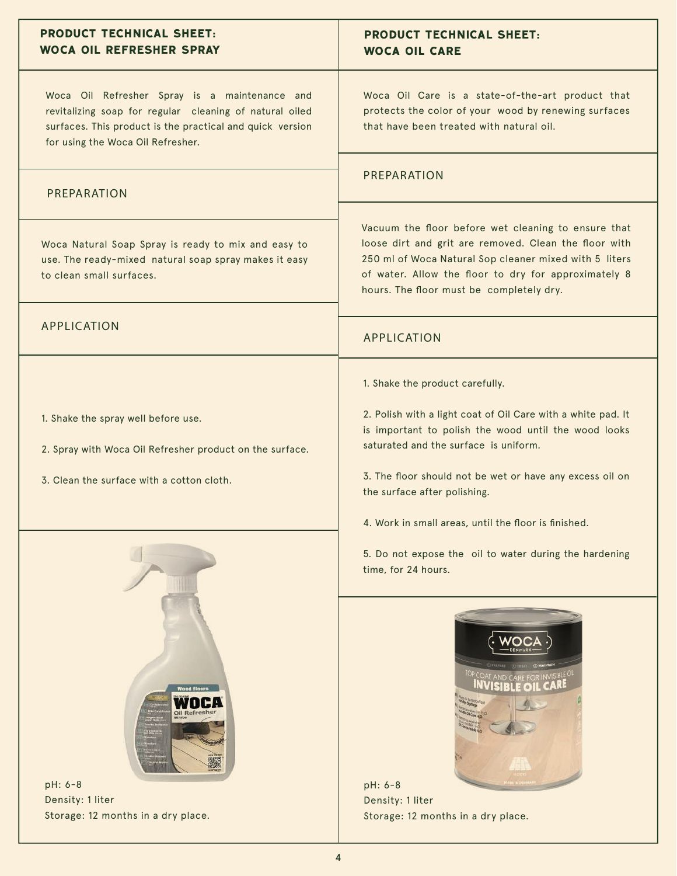| Woca Oil Care is a state-of-the-art product that<br>protects the color of your wood by renewing surfaces<br>that have been treated with natural oil.                                                                                                                                                                                                 |
|------------------------------------------------------------------------------------------------------------------------------------------------------------------------------------------------------------------------------------------------------------------------------------------------------------------------------------------------------|
| PREPARATION                                                                                                                                                                                                                                                                                                                                          |
| Vacuum the floor before wet cleaning to ensure that<br>loose dirt and grit are removed. Clean the floor with<br>250 ml of Woca Natural Sop cleaner mixed with 5 liters<br>of water. Allow the floor to dry for approximately 8<br>hours. The floor must be completely dry.                                                                           |
| <b>APPLICATION</b>                                                                                                                                                                                                                                                                                                                                   |
| 1. Shake the product carefully.<br>2. Polish with a light coat of Oil Care with a white pad. It<br>is important to polish the wood until the wood looks<br>saturated and the surface is uniform.<br>3. The floor should not be wet or have any excess oil on<br>the surface after polishing.<br>4. Work in small areas, until the floor is finished. |
| 5. Do not expose the oil to water during the hardening<br>time, for 24 hours.                                                                                                                                                                                                                                                                        |
| pH: 6-8<br>Density: 1 liter<br>Storage: 12 months in a dry place.                                                                                                                                                                                                                                                                                    |
|                                                                                                                                                                                                                                                                                                                                                      |